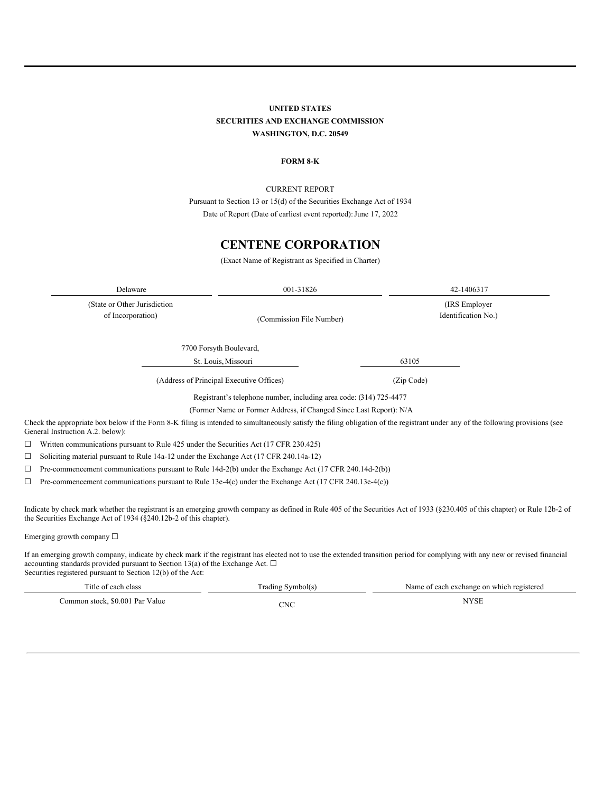## **UNITED STATES SECURITIES AND EXCHANGE COMMISSION WASHINGTON, D.C. 20549**

### **FORM 8-K**

CURRENT REPORT

Pursuant to Section 13 or 15(d) of the Securities Exchange Act of 1934 Date of Report (Date of earliest event reported): June 17, 2022

# **CENTENE CORPORATION**

(Exact Name of Registrant as Specified in Charter)

| Delaware                                                                                    | 001-31826                                                                                              | 42-1406317                                                                                                                                                                      |
|---------------------------------------------------------------------------------------------|--------------------------------------------------------------------------------------------------------|---------------------------------------------------------------------------------------------------------------------------------------------------------------------------------|
| (State or Other Jurisdiction<br>of Incorporation)                                           | (Commission File Number)                                                                               | (IRS Employer)<br>Identification No.)                                                                                                                                           |
|                                                                                             | 7700 Forsyth Boulevard,                                                                                |                                                                                                                                                                                 |
|                                                                                             | St. Louis, Missouri                                                                                    | 63105                                                                                                                                                                           |
|                                                                                             | (Address of Principal Executive Offices)                                                               | (Zip Code)                                                                                                                                                                      |
|                                                                                             | Registrant's telephone number, including area code: (314) 725-4477                                     |                                                                                                                                                                                 |
|                                                                                             | (Former Name or Former Address, if Changed Since Last Report): N/A                                     |                                                                                                                                                                                 |
| General Instruction A.2. below):                                                            |                                                                                                        | Check the appropriate box below if the Form 8-K filing is intended to simultaneously satisfy the filing obligation of the registrant under any of the following provisions (see |
| □<br>Written communications pursuant to Rule 425 under the Securities Act (17 CFR 230.425)  |                                                                                                        |                                                                                                                                                                                 |
| □<br>Soliciting material pursuant to Rule 14a-12 under the Exchange Act (17 CFR 240.14a-12) |                                                                                                        |                                                                                                                                                                                 |
| □                                                                                           | Pre-commencement communications pursuant to Rule 14d-2(b) under the Exchange Act (17 CFR 240.14d-2(b)) |                                                                                                                                                                                 |
| ⊓                                                                                           | Pre-commencement communications pursuant to Rule 13e-4(c) under the Exchange Act (17 CFR 240.13e-4(c)) |                                                                                                                                                                                 |
| the Securities Exchange Act of 1934 (§240.12b-2 of this chapter).                           |                                                                                                        | Indicate by check mark whether the registrant is an emerging growth company as defined in Rule 405 of the Securities Act of 1933 (§230.405 of this chapter) or Rule 12b-2 of    |
| Emerging growth company $\square$                                                           |                                                                                                        |                                                                                                                                                                                 |

If an emerging growth company, indicate by check mark if the registrant has elected not to use the extended transition period for complying with any new or revised financial accounting standards provided pursuant to Section 13(a) of the Exchange Act.  $\Box$ Securities registered pursuant to Section 12(b) of the Act:

| l'itle of each class            | - Symbol(s)<br>' rading | If each exchange on which registered<br>Name of |
|---------------------------------|-------------------------|-------------------------------------------------|
| Common stock, \$0.001 Par Value | <b>CNC</b>              | YSE<br>$\mathbf{N}$ .                           |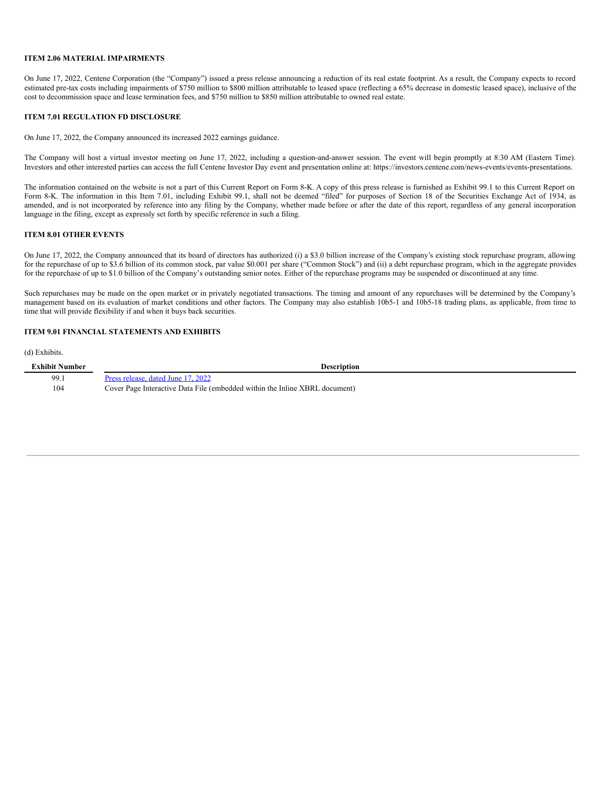### **ITEM 2.06 MATERIAL IMPAIRMENTS**

On June 17, 2022, Centene Corporation (the "Company") issued a press release announcing a reduction of its real estate footprint. As a result, the Company expects to record estimated pre-tax costs including impairments of \$750 million to \$800 million attributable to leased space (reflecting a 65% decrease in domestic leased space), inclusive of the cost to decommission space and lease termination fees, and \$750 million to \$850 million attributable to owned real estate.

### **ITEM 7.01 REGULATION FD DISCLOSURE**

On June 17, 2022, the Company announced its increased 2022 earnings guidance.

The Company will host a virtual investor meeting on June 17, 2022, including a question-and-answer session. The event will begin promptly at 8:30 AM (Eastern Time). Investors and other interested parties can access the full Centene Investor Day event and presentation online at: https://investors.centene.com/news-events/events-presentations.

The information contained on the website is not a part of this Current Report on Form 8-K. A copy of this press release is furnished as Exhibit 99.1 to this Current Report on Form 8-K. The information in this Item 7.01, including Exhibit 99.1, shall not be deemed "filed" for purposes of Section 18 of the Securities Exchange Act of 1934, as amended, and is not incorporated by reference into any filing by the Company, whether made before or after the date of this report, regardless of any general incorporation language in the filing, except as expressly set forth by specific reference in such a filing.

### **ITEM 8.01 OTHER EVENTS**

On June 17, 2022, the Company announced that its board of directors has authorized (i) a \$3.0 billion increase of the Company's existing stock repurchase program, allowing for the repurchase of up to \$3.6 billion of its common stock, par value \$0.001 per share ("Common Stock") and (ii) a debt repurchase program, which in the aggregate provides for the repurchase of up to \$1.0 billion of the Company's outstanding senior notes. Either of the repurchase programs may be suspended or discontinued at any time.

Such repurchases may be made on the open market or in privately negotiated transactions. The timing and amount of any repurchases will be determined by the Company's management based on its evaluation of market conditions and other factors. The Company may also establish 10b5-1 and 10b5-18 trading plans, as applicable, from time to time that will provide flexibility if and when it buys back securities.

#### **ITEM 9.01 FINANCIAL STATEMENTS AND EXHIBITS**

(d) Exhibits.

| <b>Exhibit Number</b> | <b>Description</b>                                                          |
|-----------------------|-----------------------------------------------------------------------------|
| 99.1                  | Press release, dated June 17, 2022                                          |
| 104                   | Cover Page Interactive Data File (embedded within the Inline XBRL document) |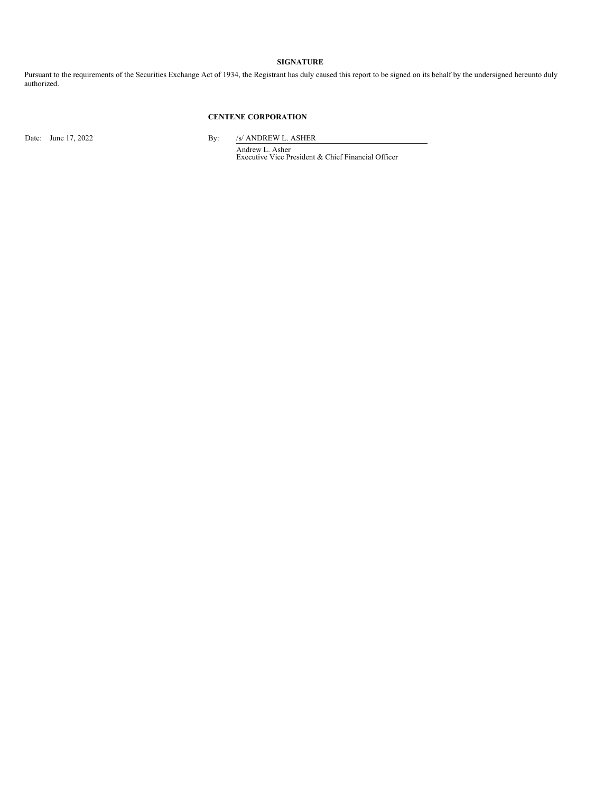### **SIGNATURE**

Pursuant to the requirements of the Securities Exchange Act of 1934, the Registrant has duly caused this report to be signed on its behalf by the undersigned hereunto duly authorized.

### **CENTENE CORPORATION**

Date: June 17, 2022 By: /s/ ANDREW L. ASHER

Andrew L. Asher Executive Vice President & Chief Financial Officer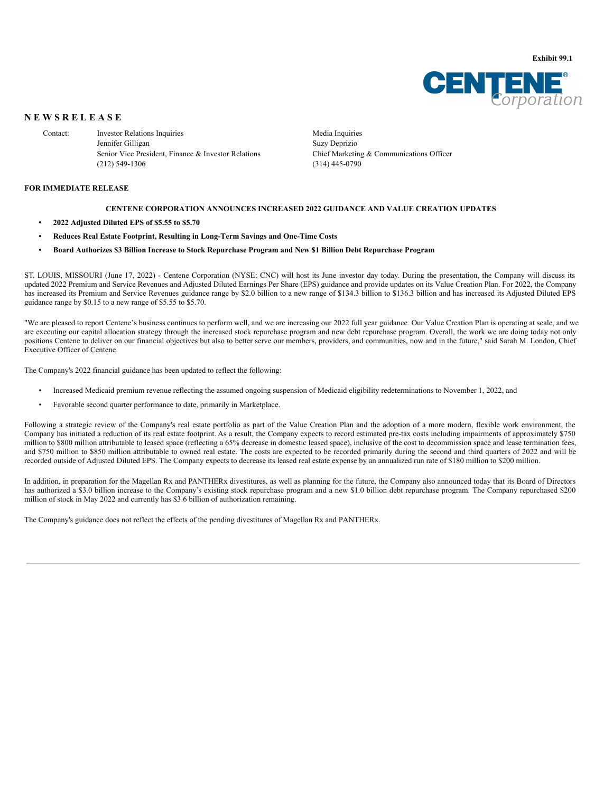



### **N E W S R E L E A S E**

Contact: Investor Relations Inquiries Media Inquiries Jennifer Gilligan Suzy Deprizio Senior Vice President, Finance & Investor Relations Chief Marketing & Communications Officer (212) 549-1306 (314) 445-0790

### **FOR IMMEDIATE RELEASE**

### **CENTENE CORPORATION ANNOUNCES INCREASED 2022 GUIDANCE AND VALUE CREATION UPDATES**

- **• 2022 Adjusted Diluted EPS of \$5.55 to \$5.70**
- **• Reduces Real Estate Footprint, Resulting in Long-Term Savings and One-Time Costs**
- Board Authorizes \$3 Billion Increase to Stock Repurchase Program and New \$1 Billion Debt Repurchase Program

ST. LOUIS, MISSOURI (June 17, 2022) - Centene Corporation (NYSE: CNC) will host its June investor day today. During the presentation, the Company will discuss its updated 2022 Premium and Service Revenues and Adjusted Diluted Earnings Per Share (EPS) guidance and provide updates on its Value Creation Plan. For 2022, the Company has increased its Premium and Service Revenues guidance range by \$2.0 billion to a new range of \$134.3 billion to \$136.3 billion and has increased its Adjusted Diluted EPS guidance range by \$0.15 to a new range of \$5.55 to \$5.70.

"We are pleased to report Centene's business continues to perform well, and we are increasing our 2022 full year guidance. Our Value Creation Plan is operating at scale, and we are executing our capital allocation strategy through the increased stock repurchase program and new debt repurchase program. Overall, the work we are doing today not only positions Centene to deliver on our financial objectives but also to better serve our members, providers, and communities, now and in the future," said Sarah M. London, Chief Executive Officer of Centene.

The Company's 2022 financial guidance has been updated to reflect the following:

- Increased Medicaid premium revenue reflecting the assumed ongoing suspension of Medicaid eligibility redeterminations to November 1, 2022, and
- Favorable second quarter performance to date, primarily in Marketplace.

Following a strategic review of the Company's real estate portfolio as part of the Value Creation Plan and the adoption of a more modern, flexible work environment, the Company has initiated a reduction of its real estate footprint. As a result, the Company expects to record estimated pre-tax costs including impairments of approximately \$750 million to \$800 million attributable to leased space (reflecting a 65% decrease in domestic leased space), inclusive of the cost to decommission space and lease termination fees, and \$750 million to \$850 million attributable to owned real estate. The costs are expected to be recorded primarily during the second and third quarters of 2022 and will be recorded outside of Adjusted Diluted EPS. The Company expects to decrease its leased real estate expense by an annualized run rate of \$180 million to \$200 million.

In addition, in preparation for the Magellan Rx and PANTHERx divestitures, as well as planning for the future, the Company also announced today that its Board of Directors has authorized a \$3.0 billion increase to the Company's existing stock repurchase program and a new \$1.0 billion debt repurchase program. The Company repurchased \$200 million of stock in May 2022 and currently has \$3.6 billion of authorization remaining.

The Company's guidance does not reflect the effects of the pending divestitures of Magellan Rx and PANTHERx.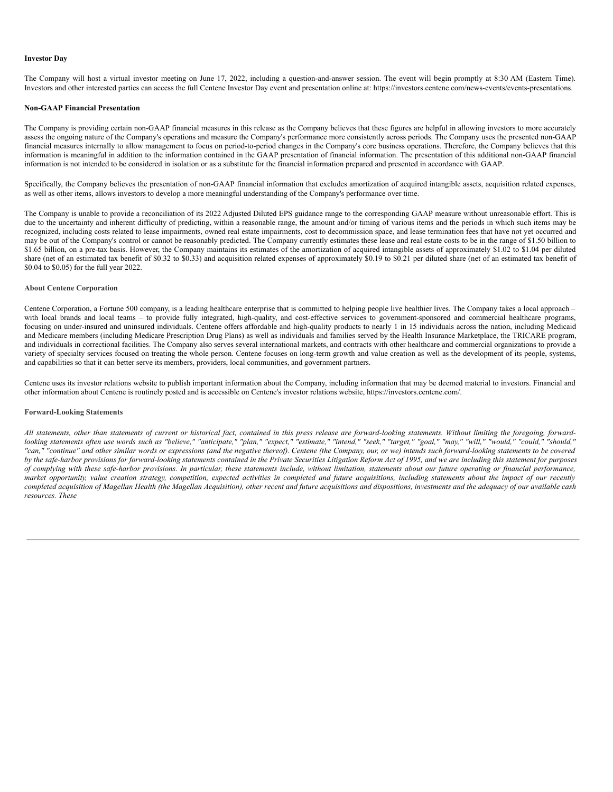#### <span id="page-4-0"></span>**Investor Day**

The Company will host a virtual investor meeting on June 17, 2022, including a question-and-answer session. The event will begin promptly at 8:30 AM (Eastern Time). Investors and other interested parties can access the full Centene Investor Day event and presentation online at: https://investors.centene.com/news-events/events-presentations.

### **Non-GAAP Financial Presentation**

The Company is providing certain non-GAAP financial measures in this release as the Company believes that these figures are helpful in allowing investors to more accurately assess the ongoing nature of the Company's operations and measure the Company's performance more consistently across periods. The Company uses the presented non-GAAP financial measures internally to allow management to focus on period-to-period changes in the Company's core business operations. Therefore, the Company believes that this information is meaningful in addition to the information contained in the GAAP presentation of financial information. The presentation of this additional non-GAAP financial information is not intended to be considered in isolation or as a substitute for the financial information prepared and presented in accordance with GAAP.

Specifically, the Company believes the presentation of non-GAAP financial information that excludes amortization of acquired intangible assets, acquisition related expenses, as well as other items, allows investors to develop a more meaningful understanding of the Company's performance over time.

The Company is unable to provide a reconciliation of its 2022 Adjusted Diluted EPS guidance range to the corresponding GAAP measure without unreasonable effort. This is due to the uncertainty and inherent difficulty of predicting, within a reasonable range, the amount and/or timing of various items and the periods in which such items may be recognized, including costs related to lease impairments, owned real estate impairments, cost to decommission space, and lease termination fees that have not yet occurred and may be out of the Company's control or cannot be reasonably predicted. The Company currently estimates these lease and real estate costs to be in the range of \$1.50 billion to \$1.65 billion, on a pre-tax basis. However, the Company maintains its estimates of the amortization of acquired intangible assets of approximately \$1.02 to \$1.04 per diluted share (net of an estimated tax benefit of \$0.32 to \$0.33) and acquisition related expenses of approximately \$0.19 to \$0.21 per diluted share (net of an estimated tax benefit of \$0.04 to \$0.05) for the full year 2022.

### **About Centene Corporation**

Centene Corporation, a Fortune 500 company, is a leading healthcare enterprise that is committed to helping people live healthier lives. The Company takes a local approach – with local brands and local teams – to provide fully integrated, high-quality, and cost-effective services to government-sponsored and commercial healthcare programs, focusing on under-insured and uninsured individuals. Centene offers affordable and high-quality products to nearly 1 in 15 individuals across the nation, including Medicaid and Medicare members (including Medicare Prescription Drug Plans) as well as individuals and families served by the Health Insurance Marketplace, the TRICARE program, and individuals in correctional facilities. The Company also serves several international markets, and contracts with other healthcare and commercial organizations to provide a variety of specialty services focused on treating the whole person. Centene focuses on long-term growth and value creation as well as the development of its people, systems, and capabilities so that it can better serve its members, providers, local communities, and government partners.

Centene uses its investor relations website to publish important information about the Company, including information that may be deemed material to investors. Financial and other information about Centene is routinely posted and is accessible on Centene's investor relations website, https://investors.centene.com/.

#### **Forward-Looking Statements**

All statements, other than statements of current or historical fact, contained in this press release are forward-looking statements. Without limiting the foregoing, forwardlooking statements often use words such as "believe," "anticipate," "plan," "expect," "estimate," "intend," "seek," "target," "goal," "may," "will," "would," "could," "should," "should," "can," "continue" and other similar words or expressions (and the negative thereof). Centene (the Company, our, or we) intends such forward-looking statements to be covered by the safe-harbor provisions for forward-looking statements contained in the Private Securities Litigation Reform Act of 1995, and we are including this statement for purposes of complying with these safe-harbor provisions. In particular, these statements include, without limitation, statements about our future operating or financial performance, market opportunity, value creation strategy, competition, expected activities in completed and future acquisitions, including statements about the impact of our recently completed acquisition of Magellan Health (the Magellan Acquisition), other recent and future acquisitions and dispositions, investments and the adequacy of our available cash *resources. These*